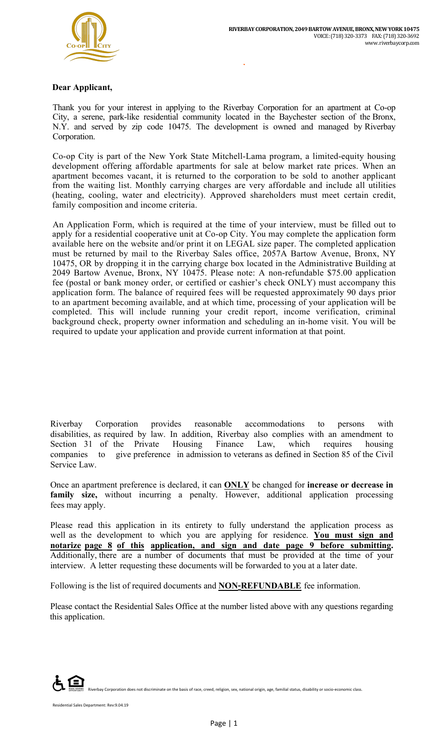$\mathcal{L}(\mathcal{L}^{\mathcal{L}})$  ,  $\mathcal{L}(\mathcal{L}^{\mathcal{L}})$  , and  $\mathcal{L}(\mathcal{L}^{\mathcal{L}})$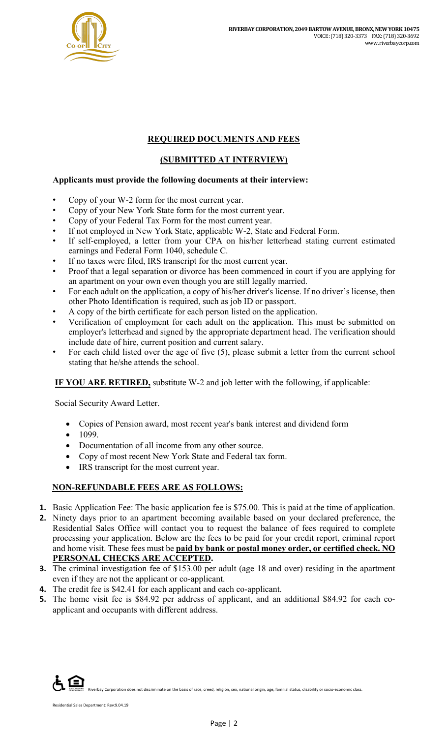

### **REQUIRED DOCUMENTS AND FEES**

## **(SUBMITTED AT INTERVIEW)**

#### **Applicants must provide the following documents at their interview:**

- Copy of your W-2 form for the most current year.
- Copy of your New York State form for the most current year.
- Copy of your Federal Tax Form for the most current year.
- If not employed in New York State, applicable W-2, State and Federal Form.
- If self-employed, a letter from your CPA on his/her letterhead stating current estimated earnings and Federal Form 1040, schedule C.
- If no taxes were filed, IRS transcript for the most current year.
- Proof that a legal separation or divorce has been commenced in court if you are applying for an apartment on your own even though you are still legally married.
- For each adult on the application, a copy of his/her driver's license. If no driver's license, then other Photo Identification is required, such as job ID or passport.
- A copy of the birth certificate for each person listed on the application.
- Verification of employment for each adult on the application. This must be submitted on employer's letterhead and signed by the appropriate department head. The verification should include date of hire, current position and current salary.
- For each child listed over the age of five (5), please submit a letter from the current school stating that he/she attends the school.

**IF YOU ARE RETIRED,** substitute W-2 and job letter with the following, if applicable:

Social Security Award Letter.

- Copies of Pension award, most recent year's bank interest and dividend form
- 1099.
- Documentation of all income from any other source.
- Copy of most recent New York State and Federal tax form.
- IRS transcript for the most current year.

#### **NON-REFUNDABLE FEES ARE AS FOLLOWS:**

- **1.** Basic Application Fee: The basic application fee is \$75.00. This is paid at the time of application.
- **2.** Ninety days prior to an apartment becoming available based on your declared preference, the Residential Sales Office will contact you to request the balance of fees required to complete processing your application. Below are the fees to be paid for your credit report, criminal report and home visit. These fees must be **paid by bank or postal money order, or certified check. NO PERSONAL CHECKS ARE ACCEPTED.**
- **3.** The criminal investigation fee of \$153.00 per adult (age 18 and over) residing in the apartment even if they are not the applicant or co-applicant.
- **4.** The credit fee is \$42.41 for each applicant and each co-applicant.
- **5.** The home visit fee is \$84.92 per address of applicant, and an additional \$84.92 for each coapplicant and occupants with different address.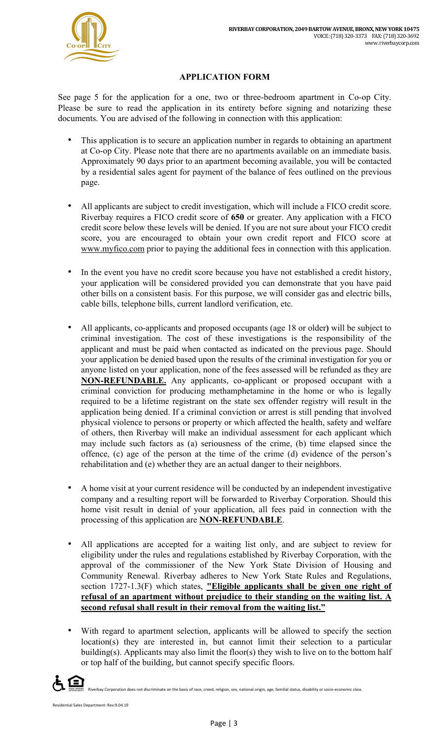

# **APPLICATION FORM**

See page 5 for the application for a one, two or three-bedroom apartment in Co-op City. Please be sure to read the application in its entirety before signing and notarizing these documents. You are advised of the following in connection with this application:

- This application is to secure an application number in regards to obtaining an apartment at Co-op City. Please note that there are no apartments available on an immediate basis. Approximately 90 days prior to an apartment becoming available, you will be contacted by a residential sales agent for payment of the balance of fees outlined on the previous page.
- All applicants are subject to credit investigation, which will include a FICO credit score. Riverbay requires a FICO credit score of **650** or greater. Any application with a FICO credit score below these levels will be denied. If you are not sure about your FICO credit score, you are encouraged to obtain your own credit report and FICO score at www.myfico.com prior to paying the additional fees in connection with this application.
- In the event you have no credit score because you have not established a credit history, your application will be considered provided you can demonstrate that you have paid other bills on a consistent basis. For this purpose, we will consider gas and electric bills, cable bills, telephone bills, current landlord verification, etc.
- All applicants, co-applicants and proposed occupants (age 18 or older**)** will be subject to criminal investigation. The cost of these investigations is the responsibility of the applicant and must be paid when contacted as indicated on the previous page. Should your application be denied based upon the results of the criminal investigation for you or anyone listed on your application, none of the fees assessed will be refunded as they are **NON-REFUNDABLE.** Any applicants, co-applicant or proposed occupant with a criminal conviction for producing methamphetamine in the home or who is legally required to be a lifetime registrant on the state sex offender registry will result in the application being denied. If a criminal conviction or arrest is still pending that involved physical violence to persons or property or which affected the health, safety and welfare of others, then Riverbay will make an individual assessment for each applicant which may include such factors as (a) seriousness of the crime, (b) time elapsed since the offence, (c) age of the person at the time of the crime (d) evidence of the person's rehabilitation and (e) whether they are an actual danger to their neighbors.
- A home visit at your current residence will be conducted by an independent investigative company and a resulting report will be forwarded to Riverbay Corporation. Should this home visit result in denial of your application, all fees paid in connection with the processing of this application are **NON-REFUNDABLE**.
- All applications are accepted for a waiting list only, and are subject to review for eligibility under the rules and regulations established by Riverbay Corporation, with the approval of the commissioner of the New York State Division of Housing and Community Renewal. Riverbay adheres to New York State Rules and Regulations, section 1727-1.3(F) which states, **"Eligible applicants shall be given one right of refusal of an apartment without prejudice to their standing on the waiting list. A second refusal shall result in their removal from the waiting list."**
- With regard to apartment selection, applicants will be allowed to specify the section location(s) they are interested in, but cannot limit their selection to a particular building(s). Applicants may also limit the floor(s) they wish to live on to the bottom half or top half of the building, but cannot specify specific floors.

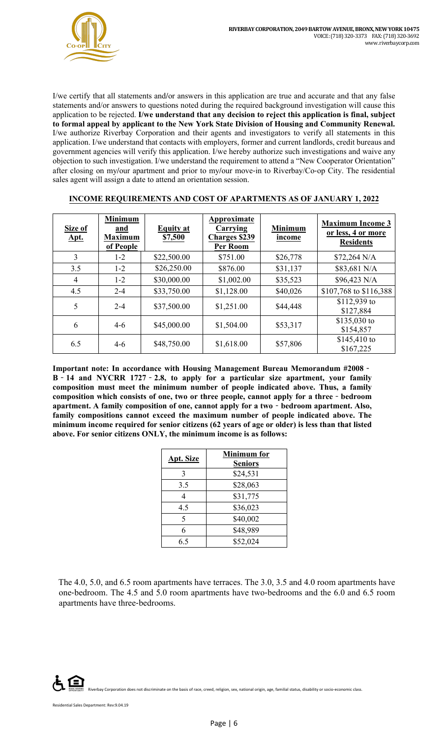I/we certify that all statements and**/**or answers in this application are true and accurate and that any false statements and/or answers to questions noted during the required background investigation will cause this application to be rejected. **I/we understand that any decision to reject this application is final, subject to formal appeal by applicant to the New York State Division of Housing and Community Renewal.**  I/we authorize Riverbay Corporation and their agents and investigators to verify all statements in this application. I/we understand that contacts with employers, former and current landlords, credit bureaus and government agencies will verify this application. I/we hereby authorize such investigations and waive any objection to such investigation. I/we understand the requirement to attend a "New Cooperator Orientation" after closing on my**/**our apartment and prior to my**/**our move-in to Riverbay/Co-op City. The residential sales agent will assign a date to attend an orientation session.

| Size of<br><u>Apt.</u> | <b>Minimum</b><br>and<br><b>Maximum</b><br>of People | <b>Equity</b> at<br>\$7,500 | Approximate<br>Carrying<br><b>Charges \$239</b><br>Per Room | <b>Minimum</b><br>income | <b>Maximum Income 3</b><br>or less, 4 or more<br><b>Residents</b> |
|------------------------|------------------------------------------------------|-----------------------------|-------------------------------------------------------------|--------------------------|-------------------------------------------------------------------|
| 3                      | $1 - 2$                                              | \$22,500.00                 | \$751.00                                                    | \$26,778                 | $$72,264$ N/A                                                     |
| 3.5                    | $1 - 2$                                              | \$26,250.00                 | \$876.00                                                    | \$31,137                 | \$83,681 N/A                                                      |
| $\overline{4}$         | $1 - 2$                                              | \$30,000.00                 | \$1,002.00                                                  | \$35,523                 | \$96,423 N/A                                                      |
| 4.5                    | $2 - 4$                                              | \$33,750.00                 | \$1,128.00                                                  | \$40,026                 | \$107,768 to \$116,388                                            |
| 5                      | $2 - 4$                                              | \$37,500.00                 | \$1,251.00                                                  | \$44,448                 | \$112,939 to<br>\$127,884                                         |
| 6                      | $4-6$                                                | \$45,000.00                 | \$1,504.00                                                  | \$53,317                 | \$135,030 to<br>\$154,857                                         |
| 6.5                    | $4-6$                                                | \$48,750.00                 | \$1,618.00                                                  | \$57,806                 | $$145,410$ to<br>\$167,225                                        |

#### **INCOME REQUIREMENTS AND COST OF APARTMENTS AS OF JANUARY 1, 2022**

**Important note: In accordance with Housing Management Bureau Memorandum #2008**‐ **B**‐**14 and NYCRR 1727**‐**2.8, to apply for a particular size apartment, your family composition must meet the minimum number of people indicated above. Thus, a family composition which consists of one, two or three people, cannot apply for a three**‐**bedroom apartment. A family composition of one, cannot apply for a two**‐**bedroom apartment. Also, family compositions cannot exceed the maximum number of people indicated above. The minimum income required for senior citizens (62 years of age or older) is less than that listed above. For senior citizens ONLY, the minimum income is as follows:** 

|                  | <b>Minimum</b> for |  |  |
|------------------|--------------------|--|--|
| <b>Apt. Size</b> | <b>Seniors</b>     |  |  |
| 3                | \$24,531           |  |  |
| 3.5              | \$28,063           |  |  |
|                  | \$31,775           |  |  |
| 4.5              | \$36,023           |  |  |
| 5                | \$40,002           |  |  |
| 6                | \$48,989           |  |  |
| 6.5              | \$52,024           |  |  |

The 4.0, 5.0, and 6.5 room apartments have terraces. The 3.0, 3.5 and 4.0 room apartments have one-bedroom. The 4.5 and 5.0 room apartments have two-bedrooms and the 6.0 and 6.5 room apartments have three-bedrooms.